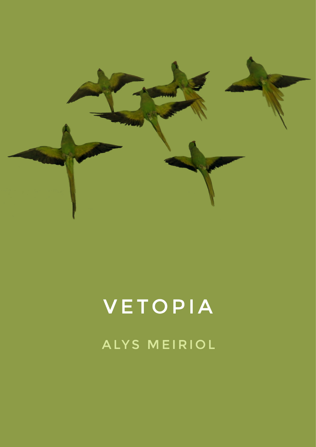

## VETOPIA ALYS MEIRIOL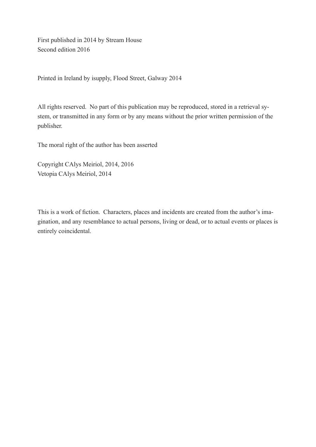First published in 2014 by Stream House Second edition 2016

Printed in Ireland by isupply, Flood Street, Galway 2014

All rights reserved. No part of this publication may be reproduced, stored in a retrieval system, or transmitted in any form or by any means without the prior written permission of the publisher.

The moral right of the author has been asserted

Copyright CAlys Meiriol, 2014, 2016 Vetopia CAlys Meiriol, 2014

This is a work of fiction. Characters, places and incidents are created from the author's imagination, and any resemblance to actual persons, living or dead, or to actual events or places is entirely coincidental.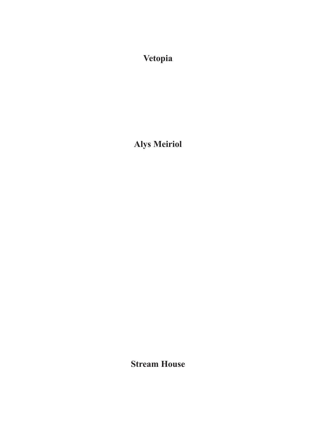**Vetopia**

**Alys Meiriol**

**Stream House**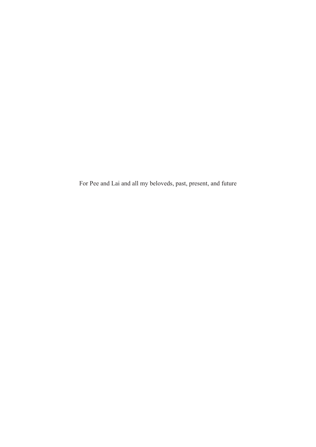For Pee and Lai and all my beloveds, past, present, and future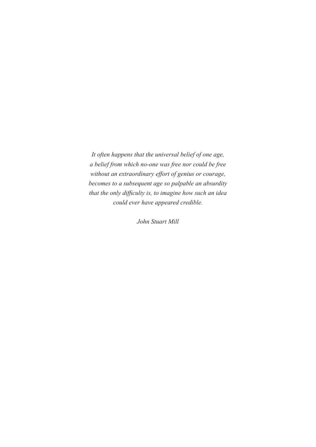*It often happens that the universal belief of one age, a belief from which no-one was free nor could be free without an extraordinary effort of genius or courage, becomes to a subsequent age so palpable an absurdity that the only difficulty is, to imagine how such an idea could ever have appeared credible.* 

*John Stuart Mill*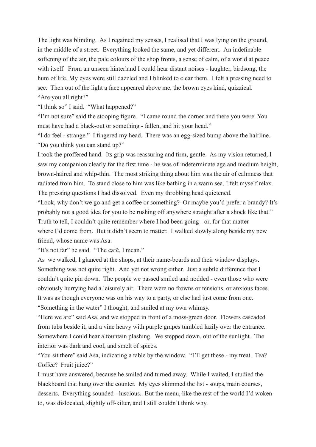The light was blinding. As I regained my senses, I realised that I was lying on the ground, in the middle of a street. Everything looked the same, and yet different. An indefinable softening of the air, the pale colours of the shop fronts, a sense of calm, of a world at peace with itself. From an unseen hinterland I could hear distant noises - laughter, birdsong, the hum of life. My eyes were still dazzled and I blinked to clear them. I felt a pressing need to see. Then out of the light a face appeared above me, the brown eyes kind, quizzical. "Are you all right?"

"I think so" I said. "What happened?"

"I'm not sure" said the stooping figure. "I came round the corner and there you were. You must have had a black-out or something - fallen, and hit your head."

"I do feel - strange." I fingered my head. There was an egg-sized bump above the hairline. "Do you think you can stand up?"

I took the proffered hand. Its grip was reassuring and firm, gentle. As my vision returned, I saw my companion clearly for the first time - he was of indeterminate age and medium height, brown-haired and whip-thin. The most striking thing about him was the air of calmness that radiated from him. To stand close to him was like bathing in a warm sea. I felt myself relax. The pressing questions I had dissolved. Even my throbbing head quietened.

"Look, why don't we go and get a coffee or something? Or maybe you'd prefer a brandy? It's probably not a good idea for you to be rushing off anywhere straight after a shock like that." Truth to tell, I couldn't quite remember where I had been going - or, for that matter where I'd come from. But it didn't seem to matter. I walked slowly along beside my new friend, whose name was Asa.

"It's not far" he said. "The café, I mean."

As we walked, I glanced at the shops, at their name-boards and their window displays. Something was not quite right. And yet not wrong either. Just a subtle difference that I couldn't quite pin down. The people we passed smiled and nodded - even those who were obviously hurrying had a leisurely air. There were no frowns or tensions, or anxious faces. It was as though everyone was on his way to a party, or else had just come from one. "Something in the water" I thought, and smiled at my own whimsy.

"Here we are" said Asa, and we stopped in front of a moss-green door. Flowers cascaded from tubs beside it, and a vine heavy with purple grapes tumbled lazily over the entrance. Somewhere I could hear a fountain plashing. We stepped down, out of the sunlight. The interior was dark and cool, and smelt of spices.

"You sit there" said Asa, indicating a table by the window. "I'll get these - my treat. Tea? Coffee? Fruit juice?"

I must have answered, because he smiled and turned away. While I waited, I studied the blackboard that hung over the counter. My eyes skimmed the list - soups, main courses, desserts. Everything sounded - luscious. But the menu, like the rest of the world I'd woken to, was dislocated, slightly off-kilter, and I still couldn't think why.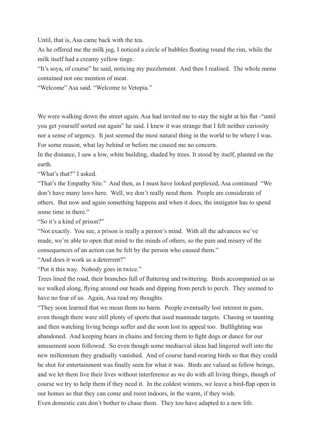Until, that is, Asa came back with the tea.

As he offered me the milk jug, I noticed a circle of bubbles floating round the rim, while the milk itself had a creamy yellow tinge.

"It's soya, of course" he said, noticing my puzzlement. And then I realised. The whole menu contained not one mention of meat.

"Welcome" Asa said. "Welcome to Vetopia."

We were walking down the street again. Asa had invited me to stay the night at his flat -"until" you get yourself sorted out again" he said. I knew it was strange that I felt neither curiosity nor a sense of urgency. It just seemed the most natural thing in the world to be where I was. For some reason, what lay behind or before me caused me no concern.

In the distance, I saw a low, white building, shaded by trees. It stood by itself, planted on the earth.

"What's that?" I asked.

"That's the Empathy Site." And then, as I must have looked perplexed, Asa continued "We don't have many laws here. Well, we don't really need them. People are considerate of others. But now and again something happens and when it does, the instigator has to spend some time in there."

"So it's a kind of prison?"

"Not exactly. You see, a prison is really a person's mind. With all the advances we've made, we're able to open that mind to the minds of others, so the pain and misery of the consequences of an action can be felt by the person who caused them."

"And does it work as a deterrent?"

"Put it this way. Nobody goes in twice."

Trees lined the road, their branches full of fluttering and twittering. Birds accompanied us as we walked along, flying around our heads and dipping from perch to perch. They seemed to have no fear of us. Again, Asa read my thoughts.

"They soon learned that we mean them no harm. People eventually lost interest in guns, even though there were still plenty of sports that used manmade targets. Chasing or taunting and then watching living beings suffer and die soon lost its appeal too. Bullfighting was abandoned. And keeping bears in chains and forcing them to fight dogs or dance for our amusement soon followed. So even though some mediaeval ideas had lingered well into the new millennium they gradually vanished. And of course hand-rearing birds so that they could be shot for entertainment was finally seen for what it was. Birds are valued as fellow beings, and we let them live their lives without interference as we do with all living things, though of course we try to help them if they need it. In the coldest winters, we leave a bird-flap open in our homes so that they can come and roost indoors, in the warm, if they wish.

Even domestic cats don't bother to chase them. They too have adapted to a new life.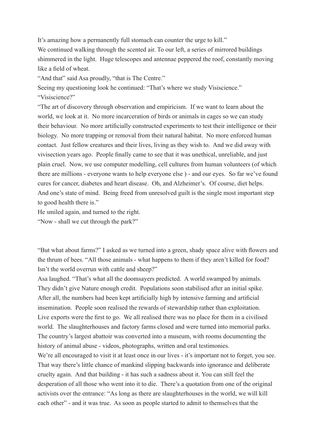It's amazing how a permanently full stomach can counter the urge to kill."

We continued walking through the scented air. To our left, a series of mirrored buildings shimmered in the light. Huge telescopes and antennae peppered the roof, constantly moving like a field of wheat.

"And that" said Asa proudly, "that is The Centre."

Seeing my questioning look he continued: "That's where we study Visiscience." "Visiscience?"

"The art of discovery through observation and empiricism. If we want to learn about the world, we look at it. No more incarceration of birds or animals in cages so we can study their behaviour. No more artificially constructed experiments to test their intelligence or their biology. No more trapping or removal from their natural habitat. No more enforced human contact. Just fellow creatures and their lives, living as they wish to. And we did away with vivisection years ago. People finally came to see that it was unethical, unreliable, and just plain cruel. Now, we use computer modelling, cell cultures from human volunteers (of which there are millions - everyone wants to help everyone else ) - and our eyes. So far we've found cures for cancer, diabetes and heart disease. Oh, and Alzheimer's. Of course, diet helps. And one's state of mind. Being freed from unresolved guilt is the single most important step to good health there is."

He smiled again, and turned to the right.

"Now - shall we cut through the park?"

"But what about farms?" I asked as we turned into a green, shady space alive with flowers and the thrum of bees. "All those animals - what happens to them if they aren't killed for food? Isn't the world overrun with cattle and sheep?"

Asa laughed. "That's what all the doomsayers predicted. A world swamped by animals. They didn't give Nature enough credit. Populations soon stabilised after an initial spike. After all, the numbers had been kept artificially high by intensive farming and artificial insemination. People soon realised the rewards of stewardship rather than exploitation. Live exports were the first to go. We all realised there was no place for them in a civilised world. The slaughterhouses and factory farms closed and were turned into memorial parks. The country's largest abattoir was converted into a museum, with rooms documenting the history of animal abuse - videos, photographs, written and oral testimonies.

We're all encouraged to visit it at least once in our lives - it's important not to forget, you see. That way there's little chance of mankind slipping backwards into ignorance and deliberate cruelty again. And that building - it has such a sadness about it. You can still feel the desperation of all those who went into it to die. There's a quotation from one of the original activists over the entrance: "As long as there are slaughterhouses in the world, we will kill each other" - and it was true. As soon as people started to admit to themselves that the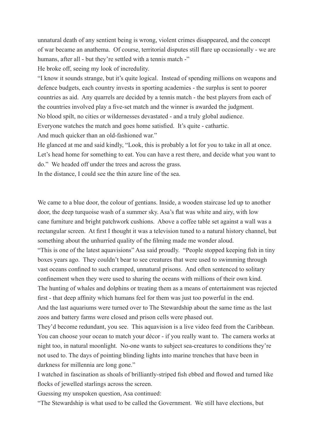unnatural death of any sentient being is wrong, violent crimes disappeared, and the concept of war became an anathema. Of course, territorial disputes still flare up occasionally - we are humans, after all - but they're settled with a tennis match -"

He broke off, seeing my look of incredulity.

"I know it sounds strange, but it's quite logical. Instead of spending millions on weapons and defence budgets, each country invests in sporting academies - the surplus is sent to poorer countries as aid. Any quarrels are decided by a tennis match - the best players from each of the countries involved play a five-set match and the winner is awarded the judgment. No blood spilt, no cities or wildernesses devastated - and a truly global audience. Everyone watches the match and goes home satisfied. It's quite - cathartic.

And much quicker than an old-fashioned war."

He glanced at me and said kindly, "Look, this is probably a lot for you to take in all at once. Let's head home for something to eat. You can have a rest there, and decide what you want to do." We headed off under the trees and across the grass.

In the distance, I could see the thin azure line of the sea.

We came to a blue door, the colour of gentians. Inside, a wooden staircase led up to another door, the deep turquoise wash of a summer sky. Asa's flat was white and airy, with low cane furniture and bright patchwork cushions. Above a coffee table set against a wall was a rectangular screen. At first I thought it was a television tuned to a natural history channel, but something about the unhurried quality of the filming made me wonder aloud.

"This is one of the latest aquavisions" Asa said proudly. "People stopped keeping fish in tiny boxes years ago. They couldn't bear to see creatures that were used to swimming through vast oceans confined to such cramped, unnatural prisons. And often sentenced to solitary confinement when they were used to sharing the oceans with millions of their own kind. The hunting of whales and dolphins or treating them as a means of entertainment was rejected first - that deep affinity which humans feel for them was just too powerful in the end. And the last aquariums were turned over to The Stewardship about the same time as the last zoos and battery farms were closed and prison cells were phased out.

They'd become redundant, you see. This aquavision is a live video feed from the Caribbean. You can choose your ocean to match your décor - if you really want to. The camera works at night too, in natural moonlight. No-one wants to subject sea-creatures to conditions they're not used to. The days of pointing blinding lights into marine trenches that have been in darkness for millennia are long gone."

I watched in fascination as shoals of brilliantly-striped fish ebbed and flowed and turned like flocks of jewelled starlings across the screen.

Guessing my unspoken question, Asa continued:

"The Stewardship is what used to be called the Government. We still have elections, but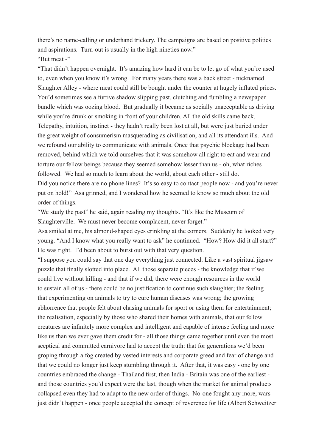there's no name-calling or underhand trickery. The campaigns are based on positive politics and aspirations. Turn-out is usually in the high nineties now." "But meat -"

"That didn't happen overnight. It's amazing how hard it can be to let go of what you're used to, even when you know it's wrong. For many years there was a back street - nicknamed Slaughter Alley - where meat could still be bought under the counter at hugely inflated prices. You'd sometimes see a furtive shadow slipping past, clutching and fumbling a newspaper bundle which was oozing blood. But gradually it became as socially unacceptable as driving while you're drunk or smoking in front of your children. All the old skills came back. Telepathy, intuition, instinct - they hadn't really been lost at all, but were just buried under the great weight of consumerism masquerading as civilisation, and all its attendant ills. And we refound our ability to communicate with animals. Once that psychic blockage had been removed, behind which we told ourselves that it was somehow all right to eat and wear and torture our fellow beings because they seemed somehow lesser than us - oh, what riches followed. We had so much to learn about the world, about each other - still do. Did you notice there are no phone lines? It's so easy to contact people now - and you're never put on hold!" Asa grinned, and I wondered how he seemed to know so much about the old order of things.

"We study the past" he said, again reading my thoughts. "It's like the Museum of Slaughterville. We must never become complacent, never forget."

Asa smiled at me, his almond-shaped eyes crinkling at the corners. Suddenly he looked very young. "And I know what you really want to ask" he continued. "How? How did it all start?" He was right. I'd been about to burst out with that very question.

"I suppose you could say that one day everything just connected. Like a vast spiritual jigsaw puzzle that finally slotted into place. All those separate pieces - the knowledge that if we could live without killing - and that if we did, there were enough resources in the world to sustain all of us - there could be no justification to continue such slaughter; the feeling that experimenting on animals to try to cure human diseases was wrong; the growing abhorrence that people felt about chasing animals for sport or using them for entertainment; the realisation, especially by those who shared their homes with animals, that our fellow creatures are infinitely more complex and intelligent and capable of intense feeling and more like us than we ever gave them credit for - all those things came together until even the most sceptical and committed carnivore had to accept the truth: that for generations we'd been groping through a fog created by vested interests and corporate greed and fear of change and that we could no longer just keep stumbling through it. After that, it was easy - one by one countries embraced the change - Thailand first, then India - Britain was one of the earliest and those countries you'd expect were the last, though when the market for animal products collapsed even they had to adapt to the new order of things. No-one fought any more, wars just didn't happen - once people accepted the concept of reverence for life (Albert Schweitzer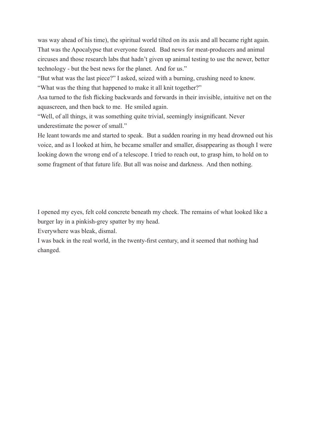was way ahead of his time), the spiritual world tilted on its axis and all became right again. That was the Apocalypse that everyone feared. Bad news for meat-producers and animal circuses and those research labs that hadn't given up animal testing to use the newer, better technology - but the best news for the planet. And for us."

"But what was the last piece?" I asked, seized with a burning, crushing need to know. "What was the thing that happened to make it all knit together?"

Asa turned to the fish flicking backwards and forwards in their invisible, intuitive net on the aquascreen, and then back to me. He smiled again.

"Well, of all things, it was something quite trivial, seemingly insignificant. Never underestimate the power of small."

He leant towards me and started to speak. But a sudden roaring in my head drowned out his voice, and as I looked at him, he became smaller and smaller, disappearing as though I were looking down the wrong end of a telescope. I tried to reach out, to grasp him, to hold on to some fragment of that future life. But all was noise and darkness. And then nothing.

I opened my eyes, felt cold concrete beneath my cheek. The remains of what looked like a burger lay in a pinkish-grey spatter by my head.

Everywhere was bleak, dismal.

I was back in the real world, in the twenty-first century, and it seemed that nothing had changed.